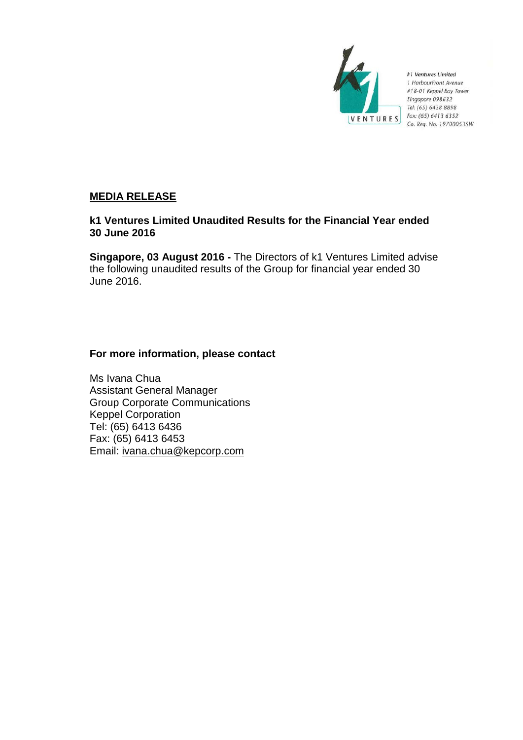

k1 Ventures Limited 1 HarbourFront Avenue #18-01 Keppel Bay Tower Singapore 098632 Tel: (65) 6438 8898 Fax: (65) 6413 6352 Co. Reg. No. 197000535W

# **MEDIA RELEASE**

# **k1 Ventures Limited Unaudited Results for the Financial Year ended 30 June 2016**

**Singapore, 03 August 2016 -** The Directors of k1 Ventures Limited advise the following unaudited results of the Group for financial year ended 30 June 2016.

# **For more information, please contact**

Ms Ivana Chua Assistant General Manager Group Corporate Communications Keppel Corporation Tel: (65) 6413 6436 Fax: (65) 6413 6453 Email: ivana.chua@kepcorp.com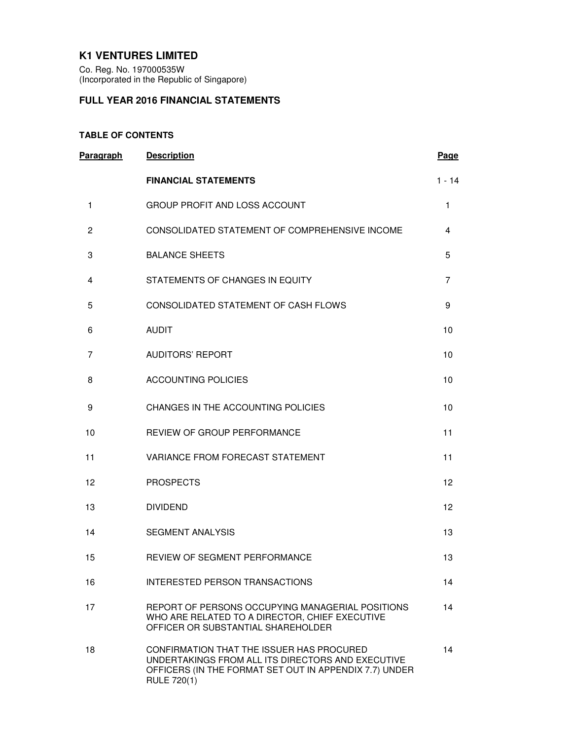# **K1 VENTURES LIMITED**

Co. Reg. No. 197000535W (Incorporated in the Republic of Singapore)

# **FULL YEAR 2016 FINANCIAL STATEMENTS**

# **TABLE OF CONTENTS**

| <b>Paragraph</b> | <b>Description</b>                                                                                                                                                             | Page     |
|------------------|--------------------------------------------------------------------------------------------------------------------------------------------------------------------------------|----------|
|                  | <b>FINANCIAL STATEMENTS</b>                                                                                                                                                    | $1 - 14$ |
| 1                | <b>GROUP PROFIT AND LOSS ACCOUNT</b>                                                                                                                                           | 1        |
| 2                | CONSOLIDATED STATEMENT OF COMPREHENSIVE INCOME                                                                                                                                 | 4        |
| 3                | <b>BALANCE SHEETS</b>                                                                                                                                                          | 5        |
| 4                | STATEMENTS OF CHANGES IN EQUITY                                                                                                                                                | 7        |
| 5                | CONSOLIDATED STATEMENT OF CASH FLOWS                                                                                                                                           | 9        |
| 6                | <b>AUDIT</b>                                                                                                                                                                   | 10       |
| 7                | <b>AUDITORS' REPORT</b>                                                                                                                                                        | 10       |
| 8                | <b>ACCOUNTING POLICIES</b>                                                                                                                                                     | 10       |
| 9                | CHANGES IN THE ACCOUNTING POLICIES                                                                                                                                             | 10       |
| 10               | REVIEW OF GROUP PERFORMANCE                                                                                                                                                    | 11       |
| 11               | VARIANCE FROM FORECAST STATEMENT                                                                                                                                               | 11       |
| 12               | <b>PROSPECTS</b>                                                                                                                                                               | 12       |
| 13               | <b>DIVIDEND</b>                                                                                                                                                                | 12       |
| 14               | <b>SEGMENT ANALYSIS</b>                                                                                                                                                        | 13       |
| 15               | REVIEW OF SEGMENT PERFORMANCE                                                                                                                                                  | 13       |
| 16               | <b>INTERESTED PERSON TRANSACTIONS</b>                                                                                                                                          | 14       |
| 17               | REPORT OF PERSONS OCCUPYING MANAGERIAL POSITIONS<br>WHO ARE RELATED TO A DIRECTOR, CHIEF EXECUTIVE<br>OFFICER OR SUBSTANTIAL SHAREHOLDER                                       | 14       |
| 18               | CONFIRMATION THAT THE ISSUER HAS PROCURED<br>UNDERTAKINGS FROM ALL ITS DIRECTORS AND EXECUTIVE<br>OFFICERS (IN THE FORMAT SET OUT IN APPENDIX 7.7) UNDER<br><b>RULE 720(1)</b> | 14       |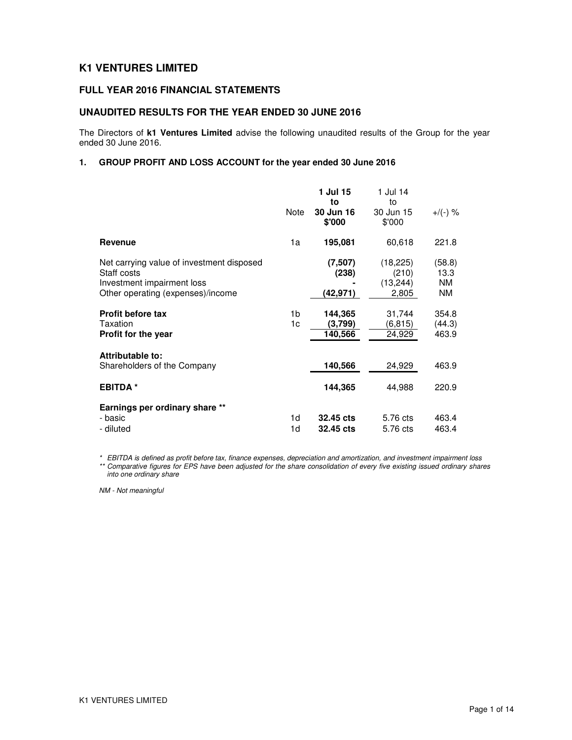# **K1 VENTURES LIMITED**

# **FULL YEAR 2016 FINANCIAL STATEMENTS**

## **UNAUDITED RESULTS FOR THE YEAR ENDED 30 JUNE 2016**

The Directors of **k1 Ventures Limited** advise the following unaudited results of the Group for the year ended 30 June 2016.

# **1. GROUP PROFIT AND LOSS ACCOUNT for the year ended 30 June 2016**

|                                                                                                                             | Note     | 1 Jul 15<br>to<br>30 Jun 16<br>\$'000 | 1 Jul 14<br>to<br>30 Jun 15<br>\$'000    | $+$ /(-) %                               |
|-----------------------------------------------------------------------------------------------------------------------------|----------|---------------------------------------|------------------------------------------|------------------------------------------|
| Revenue                                                                                                                     | 1a       | 195,081                               | 60,618                                   | 221.8                                    |
| Net carrying value of investment disposed<br>Staff costs<br>Investment impairment loss<br>Other operating (expenses)/income |          | (7,507)<br>(238)<br>(42,971)          | (18, 225)<br>(210)<br>(13, 244)<br>2,805 | (58.8)<br>13.3<br><b>NM</b><br><b>NM</b> |
| <b>Profit before tax</b><br>Taxation<br>Profit for the year                                                                 | 1b<br>1c | 144,365<br>(3,799)<br>140,566         | 31,744<br>(6,815)<br>24,929              | 354.8<br>(44.3)<br>463.9                 |
| Attributable to:<br>Shareholders of the Company                                                                             |          | 140,566                               | 24,929                                   | 463.9                                    |
| <b>EBITDA*</b>                                                                                                              |          | 144,365                               | 44,988                                   | 220.9                                    |
| Earnings per ordinary share **<br>- basic<br>- diluted                                                                      | 1d<br>1d | 32.45 cts<br>32.45 cts                | 5.76 cts<br>5.76 cts                     | 463.4<br>463.4                           |

\* EBITDA is defined as profit before tax, finance expenses, depreciation and amortization, and investment impairment loss \*\* Comparative figures for EPS have been adjusted for the share consolidation of every five existing issued ordinary shares into one ordinary share

NM - Not meaningful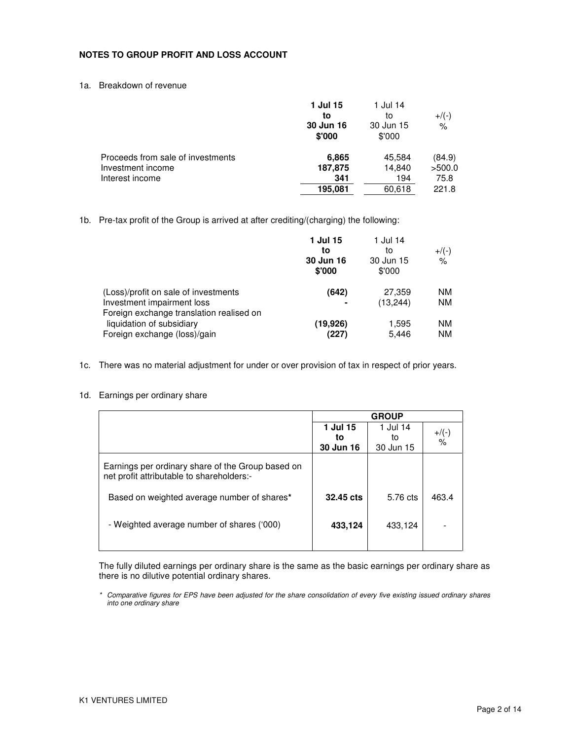## **NOTES TO GROUP PROFIT AND LOSS ACCOUNT**

1a. Breakdown of revenue

|                                   | 1 Jul 15<br>to<br>30 Jun 16<br>\$'000 | 1 Jul 14<br>to<br>30 Jun 15<br>\$'000 | $+$ /(-)<br>$\%$ |
|-----------------------------------|---------------------------------------|---------------------------------------|------------------|
| Proceeds from sale of investments | 6,865                                 | 45,584                                | (84.9)           |
| Investment income                 | 187,875                               | 14.840                                | >500.0           |
| Interest income                   | 341                                   | 194                                   | 75.8             |
|                                   | 195.081                               | 60,618                                | 221.8            |
|                                   |                                       |                                       |                  |

1b. Pre-tax profit of the Group is arrived at after crediting/(charging) the following:

| 1 Jul 15<br>to<br>30 Jun 16<br>\$'000 | 1 Jul 14<br>to<br>30 Jun 15<br>\$'000 | $+$ /(-)<br>$\frac{1}{\sqrt{2}}$ |
|---------------------------------------|---------------------------------------|----------------------------------|
| (642)                                 | 27,359                                | <b>NM</b>                        |
| -                                     | (13,244)                              | <b>NM</b>                        |
| (19.926)                              | 1,595                                 | NM.                              |
| (227)                                 | 5,446                                 | <b>NM</b>                        |
|                                       |                                       |                                  |

1c. There was no material adjustment for under or over provision of tax in respect of prior years.

## 1d. Earnings per ordinary share

|                                                                                                |           | <b>GROUP</b> |                           |
|------------------------------------------------------------------------------------------------|-----------|--------------|---------------------------|
|                                                                                                | 1 Jul 15  | 1 Jul 14     |                           |
|                                                                                                | to        | to           | $+$ /(-)<br>$\frac{0}{0}$ |
|                                                                                                | 30 Jun 16 | 30 Jun 15    |                           |
| Earnings per ordinary share of the Group based on<br>net profit attributable to shareholders:- |           |              |                           |
| Based on weighted average number of shares*                                                    | 32.45 cts | 5.76 cts     | 463.4                     |
| - Weighted average number of shares ('000)                                                     | 433,124   | 433,124      |                           |
|                                                                                                |           |              |                           |

The fully diluted earnings per ordinary share is the same as the basic earnings per ordinary share as there is no dilutive potential ordinary shares.

\* Comparative figures for EPS have been adjusted for the share consolidation of every five existing issued ordinary shares into one ordinary share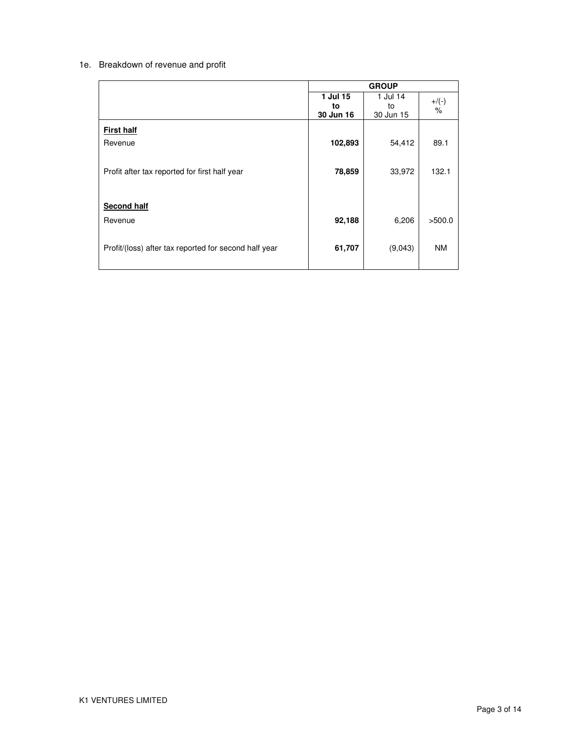# 1e. Breakdown of revenue and profit

|                                                       | <b>GROUP</b>   |                |           |
|-------------------------------------------------------|----------------|----------------|-----------|
|                                                       | 1 Jul 15<br>to | 1 Jul 14<br>to | $+$ /(-)  |
|                                                       | 30 Jun 16      | 30 Jun 15      | $\%$      |
| <b>First half</b>                                     |                |                |           |
| Revenue                                               | 102,893        | 54,412         | 89.1      |
| Profit after tax reported for first half year         | 78,859         | 33,972         | 132.1     |
| <b>Second half</b>                                    |                |                |           |
| Revenue                                               | 92,188         | 6,206          | >500.0    |
| Profit/(loss) after tax reported for second half year | 61,707         | (9,043)        | <b>NM</b> |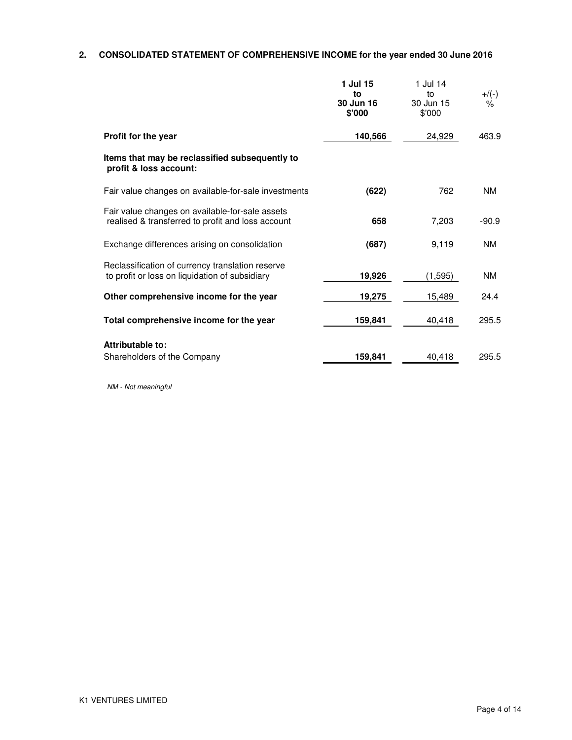# **2. CONSOLIDATED STATEMENT OF COMPREHENSIVE INCOME for the year ended 30 June 2016**

|                                                                                                      | 1 Jul 15<br>to<br>30 Jun 16<br>\$'000 | 1 Jul 14<br>to<br>30 Jun 15<br>\$'000 | $+/(-)$<br>% |
|------------------------------------------------------------------------------------------------------|---------------------------------------|---------------------------------------|--------------|
| Profit for the year                                                                                  | 140,566                               | 24,929                                | 463.9        |
| Items that may be reclassified subsequently to<br>profit & loss account:                             |                                       |                                       |              |
| Fair value changes on available-for-sale investments                                                 | (622)                                 | 762                                   | <b>NM</b>    |
| Fair value changes on available-for-sale assets<br>realised & transferred to profit and loss account | 658                                   | 7,203                                 | $-90.9$      |
| Exchange differences arising on consolidation                                                        | (687)                                 | 9,119                                 | <b>NM</b>    |
| Reclassification of currency translation reserve<br>to profit or loss on liquidation of subsidiary   | 19,926                                | (1, 595)                              | <b>NM</b>    |
| Other comprehensive income for the year                                                              | 19,275                                | 15,489                                | 24.4         |
| Total comprehensive income for the year                                                              | 159,841                               | 40,418                                | 295.5        |
| Attributable to:                                                                                     |                                       |                                       |              |
| Shareholders of the Company                                                                          | 159,841                               | 40,418                                | 295.5        |

NM - Not meaningful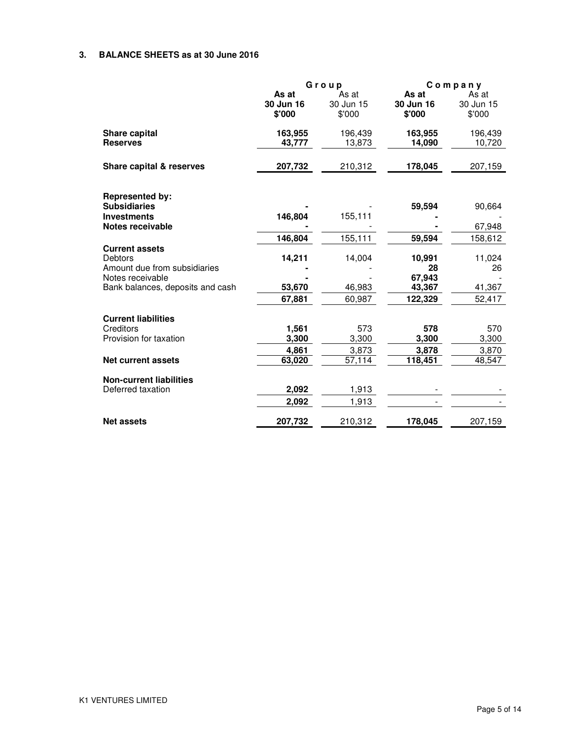## **3. BALANCE SHEETS as at 30 June 2016**

|                                               | Group     |           | $C$ ompany   |           |
|-----------------------------------------------|-----------|-----------|--------------|-----------|
|                                               | As at     | As at     | As at        | As at     |
|                                               | 30 Jun 16 | 30 Jun 15 | 30 Jun 16    | 30 Jun 15 |
|                                               | \$'000    | \$'000    | \$'000       | \$'000    |
| Share capital                                 | 163,955   | 196,439   | 163,955      | 196,439   |
| <b>Reserves</b>                               | 43,777    | 13,873    | 14,090       | 10,720    |
| Share capital & reserves                      | 207,732   | 210,312   | 178,045      | 207,159   |
|                                               |           |           |              |           |
| <b>Represented by:</b><br><b>Subsidiaries</b> |           |           | 59,594       | 90,664    |
| <b>Investments</b>                            | 146,804   | 155,111   |              |           |
| Notes receivable                              |           |           |              | 67,948    |
|                                               | 146,804   | 155,111   | 59,594       | 158,612   |
| <b>Current assets</b>                         |           |           |              |           |
| Debtors<br>Amount due from subsidiaries       | 14,211    | 14,004    | 10,991<br>28 | 11,024    |
| Notes receivable                              |           |           | 67,943       | 26        |
| Bank balances, deposits and cash              | 53,670    | 46,983    | 43,367       | 41,367    |
|                                               | 67.881    | 60,987    | 122,329      | 52,417    |
| <b>Current liabilities</b>                    |           |           |              |           |
| Creditors                                     | 1,561     | 573       | 578          | 570       |
| Provision for taxation                        | 3,300     | 3,300     | 3,300        | 3,300     |
|                                               | 4,861     | 3,873     | 3,878        | 3,870     |
| <b>Net current assets</b>                     | 63,020    | 57,114    | 118,451      | 48,547    |
| <b>Non-current liabilities</b>                |           |           |              |           |
| Deferred taxation                             | 2,092     | 1,913     |              |           |
|                                               | 2,092     | 1,913     |              |           |
| <b>Net assets</b>                             | 207,732   | 210,312   | 178,045      | 207,159   |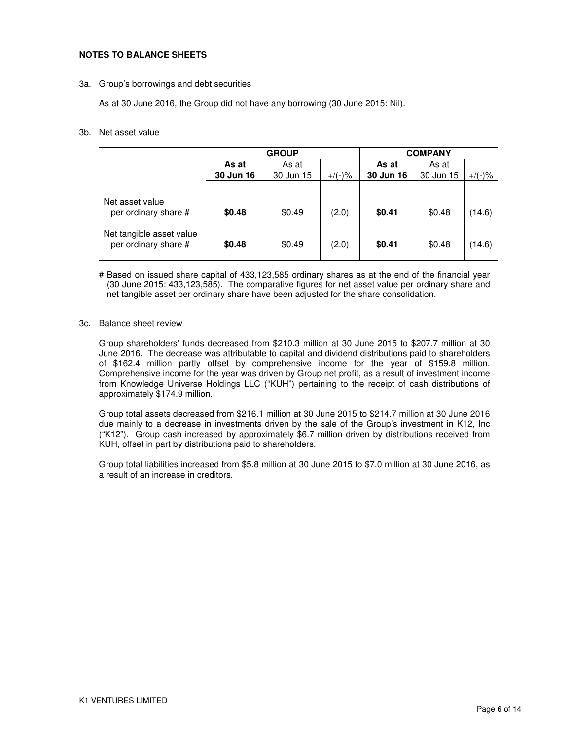### **NOTES TO BALANCE SHEETS**

#### 3a. Group's borrowings and debt securities

As at 30 June 2016, the Group did not have any borrowing (30 June 2015: Nil).

#### 3b. Net asset value

|                                                  | <b>GROUP</b> |           |           | <b>COMPANY</b> |           |           |  |
|--------------------------------------------------|--------------|-----------|-----------|----------------|-----------|-----------|--|
|                                                  | As at        | As at     |           | As at          | As at     |           |  |
|                                                  | 30 Jun 16    | 30 Jun 15 | $+/(-)$ % | 30 Jun 16      | 30 Jun 15 | $+/(-)$ % |  |
|                                                  |              |           |           |                |           |           |  |
| Net asset value<br>per ordinary share #          | \$0.48       | \$0.49    | (2.0)     | \$0.41         | \$0.48    | (14.6)    |  |
| Net tangible asset value<br>per ordinary share # | \$0.48       | \$0.49    | (2.0)     | \$0.41         | \$0.48    | (14.6)    |  |

# Based on issued share capital of 433,123,585 ordinary shares as at the end of the financial year (30 June 2015: 433,123,585). The comparative figures for net asset value per ordinary share and net tangible asset per ordinary share have been adjusted for the share consolidation.

#### 3c. Balance sheet review

Group shareholders' funds decreased from \$210.3 million at 30 June 2015 to \$207.7 million at 30 June 2016. The decrease was attributable to capital and dividend distributions paid to shareholders of \$162.4 million partly offset by comprehensive income for the year of \$159.8 million. Comprehensive income for the year was driven by Group net profit, as a result of investment income from Knowledge Universe Holdings LLC ("KUH") pertaining to the receipt of cash distributions of approximately \$174.9 million.

Group total assets decreased from \$216.1 million at 30 June 2015 to \$214.7 million at 30 June 2016 due mainly to a decrease in investments driven by the sale of the Group's investment in K12, Inc ("K12"). Group cash increased by approximately \$6.7 million driven by distributions received from KUH, offset in part by distributions paid to shareholders.

Group total liabilities increased from \$5.8 million at 30 June 2015 to \$7.0 million at 30 June 2016, as a result of an increase in creditors.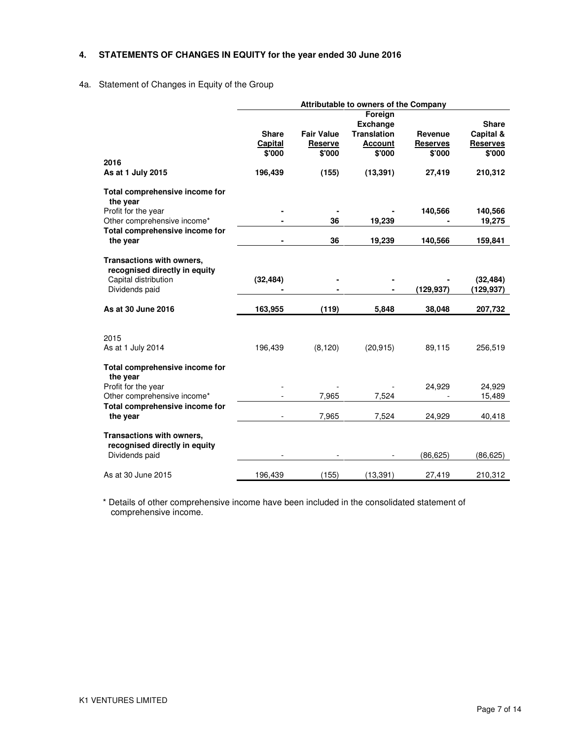# **4. STATEMENTS OF CHANGES IN EQUITY for the year ended 30 June 2016**

# 4a. Statement of Changes in Equity of the Group

|                                                                                                                                    | <b>Attributable to owners of the Company</b> |                                                 |                                                                                           |                                                |                                                            |  |
|------------------------------------------------------------------------------------------------------------------------------------|----------------------------------------------|-------------------------------------------------|-------------------------------------------------------------------------------------------|------------------------------------------------|------------------------------------------------------------|--|
| 2016<br>As at 1 July 2015                                                                                                          | <b>Share</b><br>Capital<br>\$'000<br>196,439 | <b>Fair Value</b><br>Reserve<br>\$'000<br>(155) | Foreign<br><b>Exchange</b><br><b>Translation</b><br><b>Account</b><br>\$'000<br>(13, 391) | Revenue<br><b>Reserves</b><br>\$'000<br>27,419 | <b>Share</b><br>Capital &<br>Reserves<br>\$'000<br>210,312 |  |
|                                                                                                                                    |                                              |                                                 |                                                                                           |                                                |                                                            |  |
| Total comprehensive income for<br>the year<br>Profit for the year<br>Other comprehensive income*<br>Total comprehensive income for |                                              | 36                                              | 19,239                                                                                    | 140,566                                        | 140,566<br>19,275                                          |  |
| the year                                                                                                                           |                                              | 36                                              | 19,239                                                                                    | 140,566                                        | 159,841                                                    |  |
| Transactions with owners,<br>recognised directly in equity<br>Capital distribution<br>Dividends paid                               | (32, 484)                                    |                                                 |                                                                                           | (129,937)                                      | (32, 484)<br>(129,937)                                     |  |
| As at 30 June 2016                                                                                                                 | 163,955                                      | (119)                                           | 5,848                                                                                     | 38,048                                         | 207,732                                                    |  |
| 2015<br>As at 1 July 2014                                                                                                          | 196,439                                      | (8, 120)                                        | (20, 915)                                                                                 | 89,115                                         | 256,519                                                    |  |
| Total comprehensive income for<br>the year<br>Profit for the year                                                                  |                                              |                                                 |                                                                                           | 24,929                                         | 24,929                                                     |  |
| Other comprehensive income*<br>Total comprehensive income for<br>the year                                                          |                                              | 7,965<br>7,965                                  | 7,524<br>7,524                                                                            | 24,929                                         | 15,489<br>40,418                                           |  |
| Transactions with owners,<br>recognised directly in equity<br>Dividends paid                                                       |                                              |                                                 |                                                                                           | (86, 625)                                      | (86, 625)                                                  |  |
| As at 30 June 2015                                                                                                                 | 196,439                                      | (155)                                           | (13, 391)                                                                                 | 27,419                                         | 210,312                                                    |  |

\* Details of other comprehensive income have been included in the consolidated statement of comprehensive income.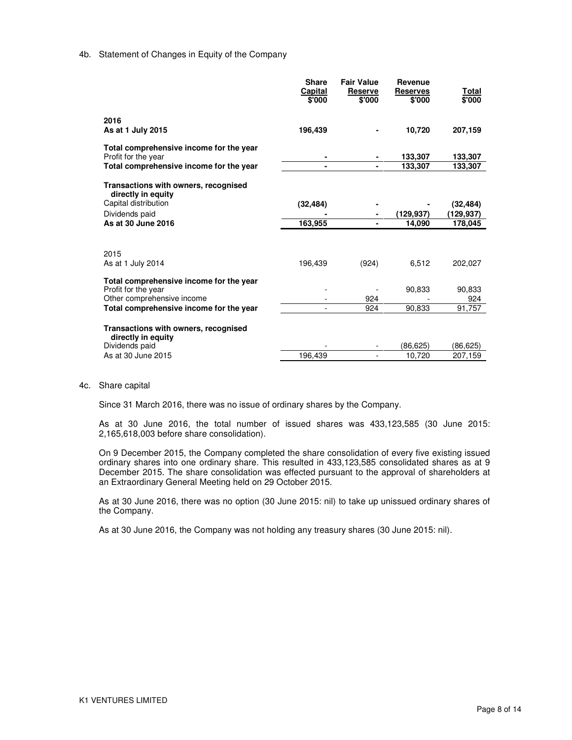### 4b. Statement of Changes in Equity of the Company

|                                                                                                                                         | <b>Share</b><br>Capital<br>\$'000 | <b>Fair Value</b><br><b>Reserve</b><br>\$'000 | Revenue<br><b>Reserves</b><br>\$'000 | Total<br>\$'000         |
|-----------------------------------------------------------------------------------------------------------------------------------------|-----------------------------------|-----------------------------------------------|--------------------------------------|-------------------------|
| 2016<br>As at 1 July 2015                                                                                                               | 196,439                           |                                               | 10,720                               | 207,159                 |
| Total comprehensive income for the year<br>Profit for the year                                                                          |                                   |                                               | 133,307                              | 133,307                 |
| Total comprehensive income for the year                                                                                                 |                                   |                                               | 133,307                              | 133,307                 |
| Transactions with owners, recognised<br>directly in equity                                                                              |                                   |                                               |                                      |                         |
| Capital distribution<br>Dividends paid                                                                                                  | (32, 484)                         |                                               |                                      | (32, 484)               |
| As at 30 June 2016                                                                                                                      | 163,955                           |                                               | (129,937)<br>14,090                  | (129,937)<br>178,045    |
| 2015<br>As at 1 July 2014                                                                                                               | 196,439                           | (924)                                         | 6,512                                | 202,027                 |
| Total comprehensive income for the year<br>Profit for the year<br>Other comprehensive income<br>Total comprehensive income for the year |                                   | 924<br>924                                    | 90.833<br>90.833                     | 90,833<br>924<br>91.757 |
| Transactions with owners, recognised<br>directly in equity<br>Dividends paid<br>As at 30 June 2015                                      | 196.439                           |                                               | (86,625)<br>10,720                   | (86, 625)<br>207,159    |
|                                                                                                                                         |                                   |                                               |                                      |                         |

#### 4c. Share capital

Since 31 March 2016, there was no issue of ordinary shares by the Company.

As at 30 June 2016, the total number of issued shares was 433,123,585 (30 June 2015: 2,165,618,003 before share consolidation).

On 9 December 2015, the Company completed the share consolidation of every five existing issued ordinary shares into one ordinary share. This resulted in 433,123,585 consolidated shares as at 9 December 2015. The share consolidation was effected pursuant to the approval of shareholders at an Extraordinary General Meeting held on 29 October 2015.

As at 30 June 2016, there was no option (30 June 2015: nil) to take up unissued ordinary shares of the Company.

As at 30 June 2016, the Company was not holding any treasury shares (30 June 2015: nil).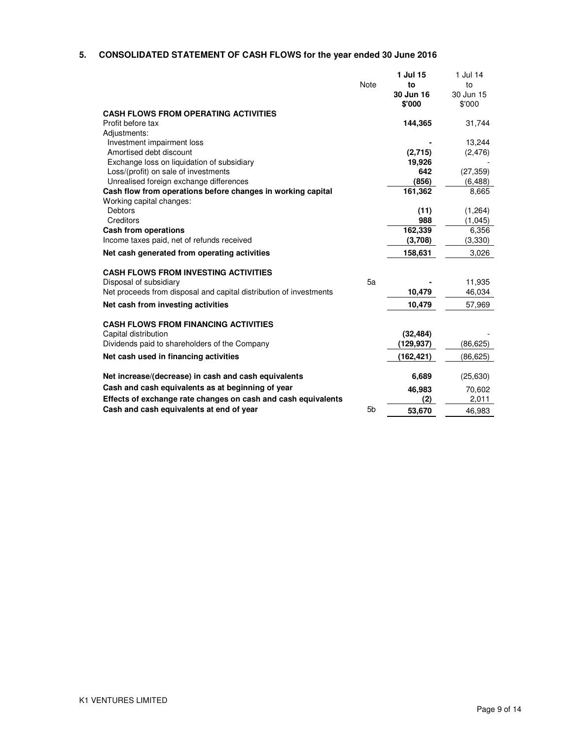# **5. CONSOLIDATED STATEMENT OF CASH FLOWS for the year ended 30 June 2016**

| <b>CASH FLOWS FROM OPERATING ACTIVITIES</b>                        | Note           | 1 Jul 15<br>to<br>30 Jun 16<br>\$'000 | 1 Jul 14<br>to<br>30 Jun 15<br>\$'000 |
|--------------------------------------------------------------------|----------------|---------------------------------------|---------------------------------------|
| Profit before tax                                                  |                | 144,365                               | 31,744                                |
| Adjustments:                                                       |                |                                       |                                       |
| Investment impairment loss                                         |                |                                       | 13,244                                |
| Amortised debt discount                                            |                | (2,715)                               | (2, 476)                              |
| Exchange loss on liquidation of subsidiary                         |                | 19,926                                |                                       |
| Loss/(profit) on sale of investments                               |                | 642                                   | (27, 359)                             |
| Unrealised foreign exchange differences                            |                | (856)                                 | (6, 488)                              |
| Cash flow from operations before changes in working capital        |                | 161,362                               | 8,665                                 |
| Working capital changes:                                           |                |                                       |                                       |
| Debtors                                                            |                | (11)                                  | (1,264)                               |
| Creditors                                                          |                | 988                                   | (1,045)                               |
| Cash from operations<br>Income taxes paid, net of refunds received |                | 162,339<br>(3,708)                    | 6,356<br>(3,330)                      |
|                                                                    |                |                                       |                                       |
| Net cash generated from operating activities                       |                | 158,631                               | 3,026                                 |
| <b>CASH FLOWS FROM INVESTING ACTIVITIES</b>                        |                |                                       |                                       |
| Disposal of subsidiary                                             | 5a             |                                       | 11,935                                |
| Net proceeds from disposal and capital distribution of investments |                | 10,479                                | 46,034                                |
| Net cash from investing activities                                 |                | 10,479                                | 57,969                                |
| <b>CASH FLOWS FROM FINANCING ACTIVITIES</b>                        |                |                                       |                                       |
| Capital distribution                                               |                | (32, 484)                             |                                       |
| Dividends paid to shareholders of the Company                      |                | (129,937)                             | (86, 625)                             |
| Net cash used in financing activities                              |                | (162, 421)                            | (86, 625)                             |
| Net increase/(decrease) in cash and cash equivalents               |                | 6,689                                 | (25, 630)                             |
| Cash and cash equivalents as at beginning of year                  |                | 46,983                                |                                       |
| Effects of exchange rate changes on cash and cash equivalents      |                | (2)                                   | 70,602<br>2,011                       |
| Cash and cash equivalents at end of year                           | 5 <sub>b</sub> |                                       |                                       |
|                                                                    |                | 53,670                                | 46,983                                |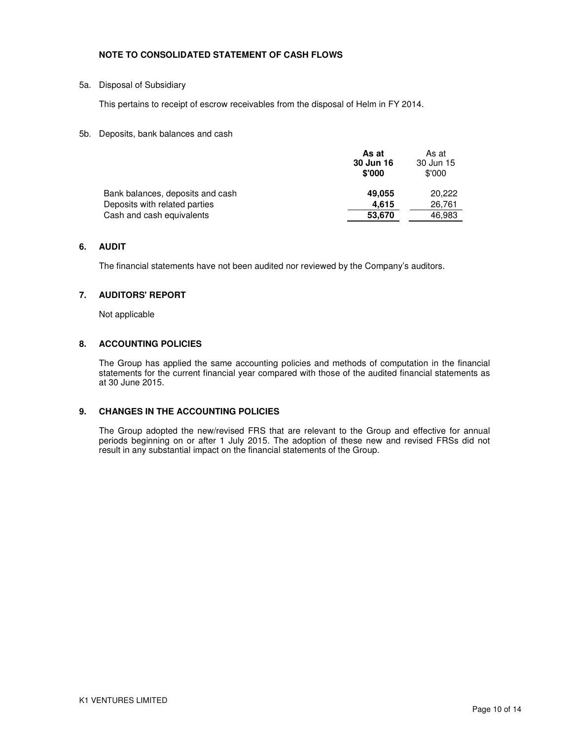## **NOTE TO CONSOLIDATED STATEMENT OF CASH FLOWS**

## 5a. Disposal of Subsidiary

This pertains to receipt of escrow receivables from the disposal of Helm in FY 2014.

### 5b. Deposits, bank balances and cash

|                                  | As at<br>30 Jun 16<br>\$'000 | As at<br>30 Jun 15<br>\$'000 |
|----------------------------------|------------------------------|------------------------------|
| Bank balances, deposits and cash | 49.055                       | 20.222                       |
| Deposits with related parties    | 4.615                        | 26,761                       |
| Cash and cash equivalents        | 53,670                       | 46,983                       |

## **6. AUDIT**

The financial statements have not been audited nor reviewed by the Company's auditors.

# **7. AUDITORS' REPORT**

Not applicable

## **8. ACCOUNTING POLICIES**

The Group has applied the same accounting policies and methods of computation in the financial statements for the current financial year compared with those of the audited financial statements as at 30 June 2015.

#### **9. CHANGES IN THE ACCOUNTING POLICIES**

The Group adopted the new/revised FRS that are relevant to the Group and effective for annual periods beginning on or after 1 July 2015. The adoption of these new and revised FRSs did not result in any substantial impact on the financial statements of the Group.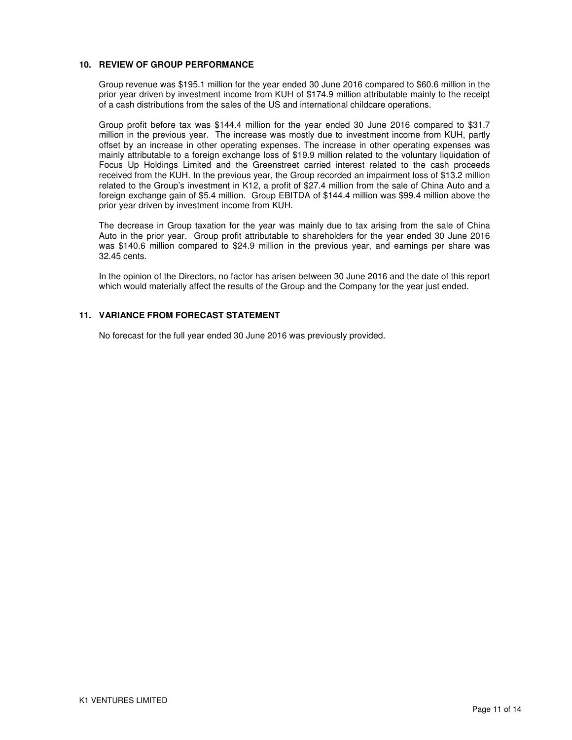## **10. REVIEW OF GROUP PERFORMANCE**

Group revenue was \$195.1 million for the year ended 30 June 2016 compared to \$60.6 million in the prior year driven by investment income from KUH of \$174.9 million attributable mainly to the receipt of a cash distributions from the sales of the US and international childcare operations.

Group profit before tax was \$144.4 million for the year ended 30 June 2016 compared to \$31.7 million in the previous year. The increase was mostly due to investment income from KUH, partly offset by an increase in other operating expenses. The increase in other operating expenses was mainly attributable to a foreign exchange loss of \$19.9 million related to the voluntary liquidation of Focus Up Holdings Limited and the Greenstreet carried interest related to the cash proceeds received from the KUH. In the previous year, the Group recorded an impairment loss of \$13.2 million related to the Group's investment in K12, a profit of \$27.4 million from the sale of China Auto and a foreign exchange gain of \$5.4 million. Group EBITDA of \$144.4 million was \$99.4 million above the prior year driven by investment income from KUH.

The decrease in Group taxation for the year was mainly due to tax arising from the sale of China Auto in the prior year. Group profit attributable to shareholders for the year ended 30 June 2016 was \$140.6 million compared to \$24.9 million in the previous year, and earnings per share was 32.45 cents.

In the opinion of the Directors, no factor has arisen between 30 June 2016 and the date of this report which would materially affect the results of the Group and the Company for the year just ended.

## **11. VARIANCE FROM FORECAST STATEMENT**

No forecast for the full year ended 30 June 2016 was previously provided.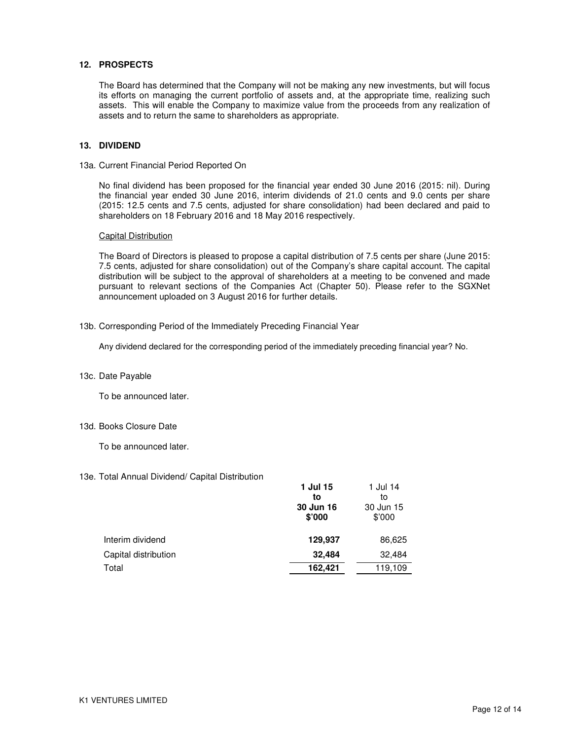## **12. PROSPECTS**

The Board has determined that the Company will not be making any new investments, but will focus its efforts on managing the current portfolio of assets and, at the appropriate time, realizing such assets. This will enable the Company to maximize value from the proceeds from any realization of assets and to return the same to shareholders as appropriate.

#### **13. DIVIDEND**

#### 13a. Current Financial Period Reported On

No final dividend has been proposed for the financial year ended 30 June 2016 (2015: nil). During the financial year ended 30 June 2016, interim dividends of 21.0 cents and 9.0 cents per share (2015: 12.5 cents and 7.5 cents, adjusted for share consolidation) had been declared and paid to shareholders on 18 February 2016 and 18 May 2016 respectively.

#### Capital Distribution

The Board of Directors is pleased to propose a capital distribution of 7.5 cents per share (June 2015: 7.5 cents, adjusted for share consolidation) out of the Company's share capital account. The capital distribution will be subject to the approval of shareholders at a meeting to be convened and made pursuant to relevant sections of the Companies Act (Chapter 50). Please refer to the SGXNet announcement uploaded on 3 August 2016 for further details.

#### 13b. Corresponding Period of the Immediately Preceding Financial Year

Any dividend declared for the corresponding period of the immediately preceding financial year? No.

#### 13c. Date Payable

To be announced later.

#### 13d. Books Closure Date

To be announced later.

## 13e. Total Annual Dividend/ Capital Distribution

|                      | 1 Jul 15<br>to<br>30 Jun 16<br>\$'000 | 1 Jul 14<br>to<br>30 Jun 15<br>\$'000 |
|----------------------|---------------------------------------|---------------------------------------|
| Interim dividend     | 129,937                               | 86,625                                |
| Capital distribution | 32,484                                | 32,484                                |
| Total                | 162,421                               | 119,109                               |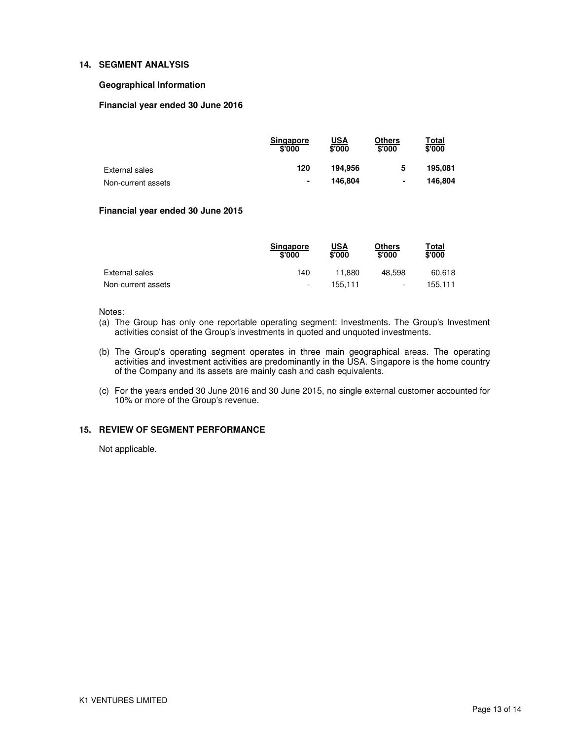### **14. SEGMENT ANALYSIS**

### **Geographical Information**

## **Financial year ended 30 June 2016**

|                    | Singapore<br>\$'000 | <u>USA</u><br>\$'000 | Others<br>\$'000 | <u>⊤otal</u><br>\$'000 |
|--------------------|---------------------|----------------------|------------------|------------------------|
| External sales     | 120                 | 194.956              | 5                | 195.081                |
| Non-current assets | $\blacksquare$      | 146.804              | ٠                | 146.804                |

# **Financial year ended 30 June 2015**

|                    | <b>Singapore</b><br>\$'000 | $USA\sqrt[3]{000}$ | Others<br>\$'000         | Total<br>\$'000 |
|--------------------|----------------------------|--------------------|--------------------------|-----------------|
| External sales     | 140                        | 11.880             | 48.598                   | 60.618          |
| Non-current assets | ٠                          | 155.111            | $\overline{\phantom{a}}$ | 155.111         |

#### Notes:

- (a) The Group has only one reportable operating segment: Investments. The Group's Investment activities consist of the Group's investments in quoted and unquoted investments.
- (b) The Group's operating segment operates in three main geographical areas. The operating activities and investment activities are predominantly in the USA. Singapore is the home country of the Company and its assets are mainly cash and cash equivalents.
- (c) For the years ended 30 June 2016 and 30 June 2015, no single external customer accounted for 10% or more of the Group's revenue.

## **15. REVIEW OF SEGMENT PERFORMANCE**

Not applicable.